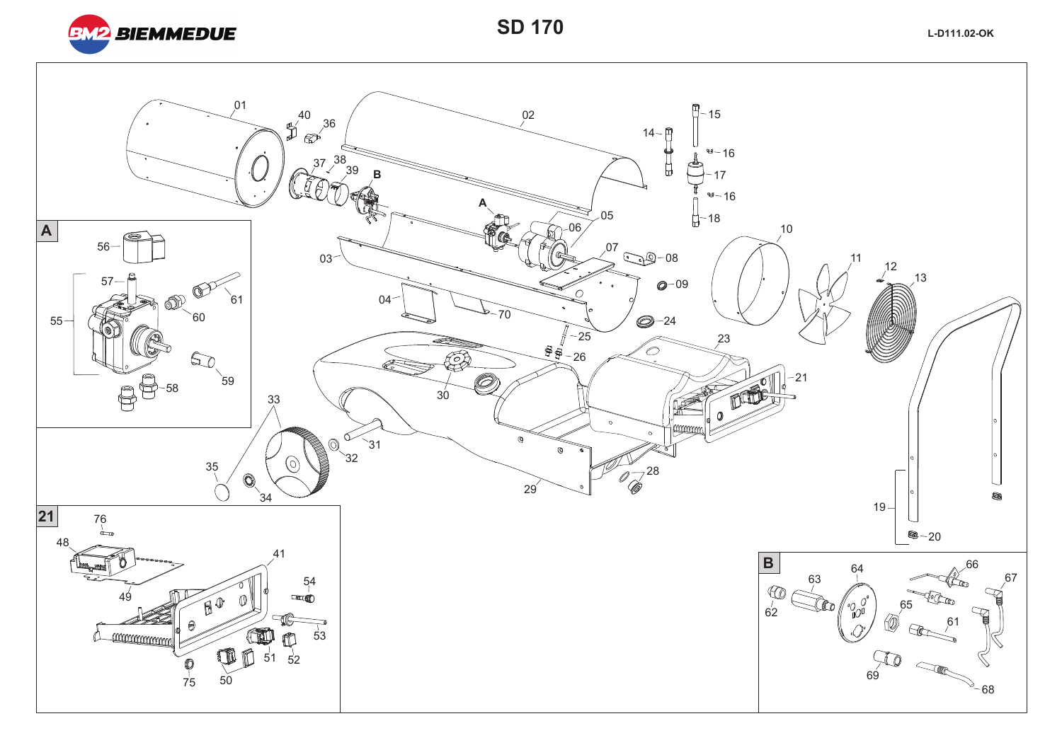

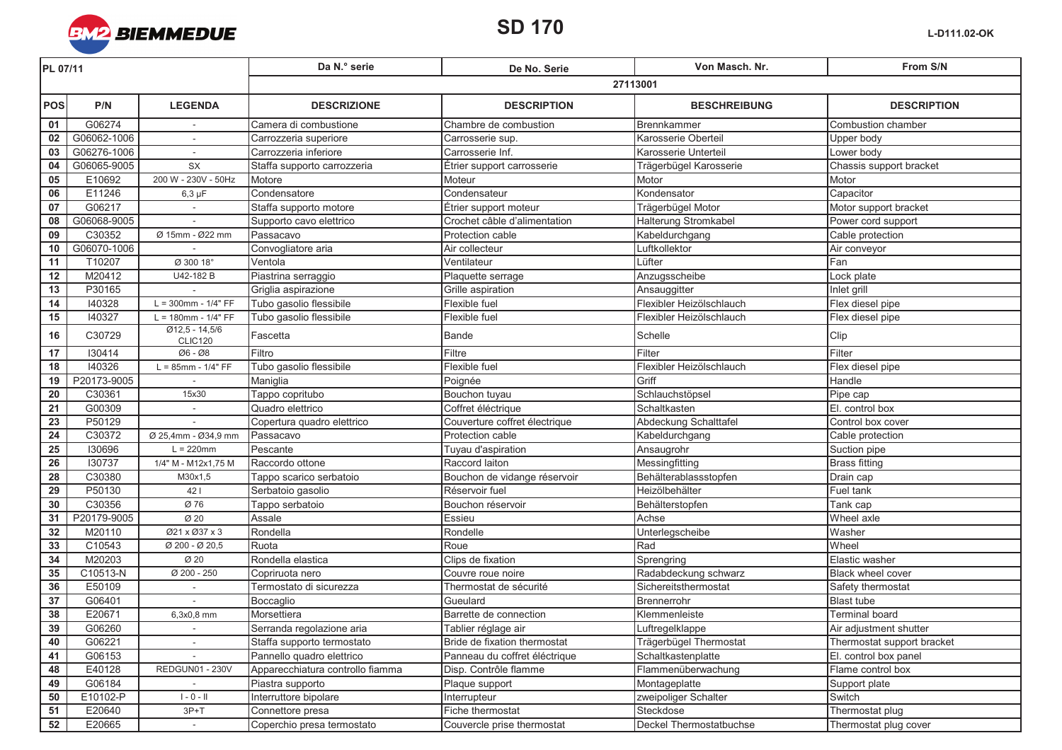

| PL 07/11        |             |                             | Da N.º serie                     | De No. Serie                  | Von Masch, Nr.           | From S/N                   |  |  |
|-----------------|-------------|-----------------------------|----------------------------------|-------------------------------|--------------------------|----------------------------|--|--|
|                 |             |                             | 27113001                         |                               |                          |                            |  |  |
| <b>POS</b>      | P/N         | <b>LEGENDA</b>              | <b>DESCRIZIONE</b>               | <b>DESCRIPTION</b>            | <b>BESCHREIBUNG</b>      | <b>DESCRIPTION</b>         |  |  |
| 01              | G06274      |                             | Camera di combustione            | Chambre de combustion         | Brennkammer              | Combustion chamber         |  |  |
| 02              | G06062-1006 | $\overline{\phantom{a}}$    | Carrozzeria superiore            | Carrosserie sup.              | Karosserie Oberteil      | Upper body                 |  |  |
| 03              | G06276-1006 | $\sim$                      | Carrozzeria inferiore            | Carrosserie Inf.              | Karosserie Unterteil     | Lower body                 |  |  |
| 04              | G06065-9005 | SX                          | Staffa supporto carrozzeria      | Étrier support carrosserie    | Trägerbügel Karosserie   | Chassis support bracket    |  |  |
| 05              | E10692      | 200 W - 230V - 50Hz         | Motore                           | Moteur                        | Motor                    | Motor                      |  |  |
| 06              | E11246      | $6,3 \mu F$                 | Condensatore                     | Condensateur                  | Kondensator              | Capacitor                  |  |  |
| 07              | G06217      |                             | Staffa supporto motore           | Étrier support moteur         | Trägerbügel Motor        | Motor support bracket      |  |  |
| 08              | G06068-9005 |                             | Supporto cavo elettrico          | Crochet câble d'alimentation  | Halterung Stromkabel     | Power cord support         |  |  |
| $\overline{09}$ | C30352      | Ø 15mm - Ø22 mm             | Passacavo                        | Protection cable              | Kabeldurchgang           | Cable protection           |  |  |
| 10              | G06070-1006 |                             | Convogliatore aria               | Air collecteur                | Luftkollektor            | Air conveyor               |  |  |
| 11              | T10207      | Ø 300 18°                   | Ventola                          | Ventilateur                   | Lüfter                   | Fan                        |  |  |
| 12              | M20412      | U42-182 B                   | Piastrina serraggio              | Plaquette serrage             | Anzugsscheibe            | Lock plate                 |  |  |
| 13              | P30165      |                             | Griglia aspirazione              | Grille aspiration             | Ansauggitter             | Inlet grill                |  |  |
| 14              | 140328      | $L = 300$ mm - $1/4" FF$    | Tubo gasolio flessibile          | Flexible fuel                 | Flexibler Heizölschlauch | Flex diesel pipe           |  |  |
| 15              | 140327      | $L = 180$ mm - $1/4" FF$    | Tubo gasolio flessibile          | Flexible fuel                 | Flexibler Heizölschlauch | Flex diesel pipe           |  |  |
| 16              | C30729      | $Ø12,5 - 14,5/6$<br>CLIC120 | Fascetta                         | <b>Bande</b>                  | Schelle                  | Clip                       |  |  |
| 17              | 130414      | Ø6 - Ø8                     | Filtro                           | Filtre                        | Filter                   | Filter                     |  |  |
| 18              | 140326      | $L = 85$ mm - $1/4" FF$     | Tubo gasolio flessibile          | Flexible fuel                 | Flexibler Heizölschlauch | Flex diesel pipe           |  |  |
| 19              | P20173-9005 |                             | Maniglia                         | Poignée                       | Griff                    | Handle                     |  |  |
| 20              | C30361      | 15x30                       | Tappo copritubo                  | Bouchon tuyau                 | Schlauchstöpsel          | Pipe cap                   |  |  |
| 21              | G00309      |                             | Quadro elettrico                 | Coffret éléctrique            | Schaltkasten             | El. control box            |  |  |
| 23              | P50129      |                             | Copertura quadro elettrico       | Couverture coffret électrique | Abdeckung Schalttafel    | Control box cover          |  |  |
| 24              | C30372      | Ø 25,4mm - Ø34,9 mm         | Passacavo                        | Protection cable              | Kabeldurchgang           | Cable protection           |  |  |
| 25              | 130696      | $L = 220$ mm                | Pescante                         | Tuyau d'aspiration            | Ansaugrohr               | Suction pipe               |  |  |
| 26              | 130737      | 1/4" M - M12x1,75 M         | Raccordo ottone                  | Raccord laiton                | Messingfitting           | <b>Brass fitting</b>       |  |  |
| $\overline{28}$ | C30380      | M30x1,5                     | Tappo scarico serbatoio          | Bouchon de vidange réservoir  | Behälterablassstopfen    | Drain cap                  |  |  |
| 29              | P50130      | 421                         | Serbatoio gasolio                | Réservoir fuel                | Heizölbehälter           | Fuel tank                  |  |  |
| 30              | C30356      | Ø 76                        | Tappo serbatoio                  | Bouchon réservoir             | Behälterstopfen          | Tank cap                   |  |  |
| 31              | P20179-9005 | $\overline{\varnothing}$ 20 | Assale                           | Essieu                        | Achse                    | Wheel axle                 |  |  |
| 32              | M20110      | Ø21 x Ø37 x 3               | Rondella                         | Rondelle                      | Unterlegscheibe          | Washer                     |  |  |
| 33              | C10543      | Ø 200 - Ø 20,5              | Ruota                            | Roue                          | Rad                      | Wheel                      |  |  |
| 34              | M20203      | Ø 20                        | Rondella elastica                | Clips de fixation             | Sprengring               | Elastic washer             |  |  |
| 35              | C10513-N    | Ø 200 - 250                 | Copriruota nero                  | Couvre roue noire             | Radabdeckung schwarz     | Black wheel cover          |  |  |
| 36              | E50109      |                             | Termostato di sicurezza          | Thermostat de sécurité        | Sichereitsthermostat     | Safety thermostat          |  |  |
| $\overline{37}$ | G06401      |                             | Boccaglio                        | Gueulard                      | Brennerrohr              | <b>Blast tube</b>          |  |  |
| 38              | E20671      | 6,3x0,8 mm                  | Morsettiera                      | Barrette de connection        | Klemmenleiste            | <b>Terminal board</b>      |  |  |
| 39              | G06260      | $\sim$                      | Serranda regolazione aria        | Tablier réglage air           | Luftregelklappe          | Air adjustment shutter     |  |  |
| 40              | G06221      | $\overline{\phantom{a}}$    | Staffa supporto termostato       | Bride de fixation thermostat  | Trägerbügel Thermostat   | Thermostat support bracket |  |  |
| 41              | G06153      |                             | Pannello quadro elettrico        | Panneau du coffret éléctrique | Schaltkastenplatte       | El. control box panel      |  |  |
| 48              | E40128      | <b>REDGUN01 - 230V</b>      | Apparecchiatura controllo fiamma | Disp. Contrôle flamme         | Flammenüberwachung       | Flame control box          |  |  |
| 49              | G06184      |                             | Piastra supporto                 | Plaque support                | Montageplatte            | Support plate              |  |  |
| 50              | E10102-P    | $1 - 0 - 11$                | Interruttore bipolare            | Interrupteur                  | zweipoliger Schalter     | Switch                     |  |  |
| 51              | E20640      | $3P+T$                      | Connettore presa                 | Fiche thermostat              | Steckdose                | Thermostat plug            |  |  |
| 52              | E20665      | $\sim$                      | Coperchio presa termostato       | Couvercle prise thermostat    | Deckel Thermostatbuchse  | Thermostat plug cover      |  |  |